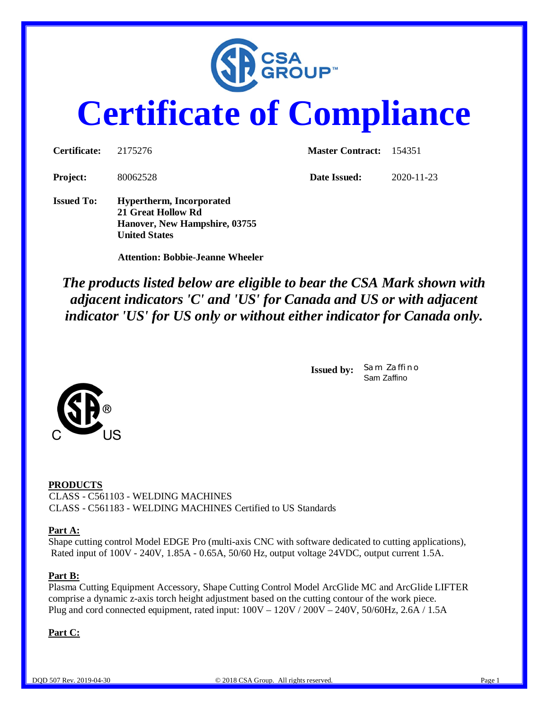

# **Certificate of Compliance**

| <b>Certificate:</b> | 2175276                                                                                                        | Master Contract: 154351 |                  |  |
|---------------------|----------------------------------------------------------------------------------------------------------------|-------------------------|------------------|--|
| <b>Project:</b>     | 80062528                                                                                                       | Date Issued:            | $2020 - 11 - 23$ |  |
| <b>Issued To:</b>   | <b>Hypertherm, Incorporated</b><br>21 Great Hollow Rd<br>Hanover, New Hampshire, 03755<br><b>United States</b> |                         |                  |  |

 **Attention: Bobbie-Jeanne Wheeler**

*The products listed below are eligible to bear the CSA Mark shown with adjacent indicators 'C' and 'US' for Canada and US or with adjacent indicator 'US' for US only or without either indicator for Canada only.*

> **Issued by:** *Sam Zaffino* Sam Zaffino



#### **Part A:**

Shape cutting control Model EDGE Pro (multi-axis CNC with software dedicated to cutting applications), Rated input of 100V - 240V, 1.85A - 0.65A, 50/60 Hz, output voltage 24VDC, output current 1.5A.

#### **Part B:**

Plasma Cutting Equipment Accessory, Shape Cutting Control Model ArcGlide MC and ArcGlide LIFTER comprise a dynamic z-axis torch height adjustment based on the cutting contour of the work piece. Plug and cord connected equipment, rated input: 100V – 120V / 200V – 240V, 50/60Hz, 2.6A / 1.5A

**Part C:**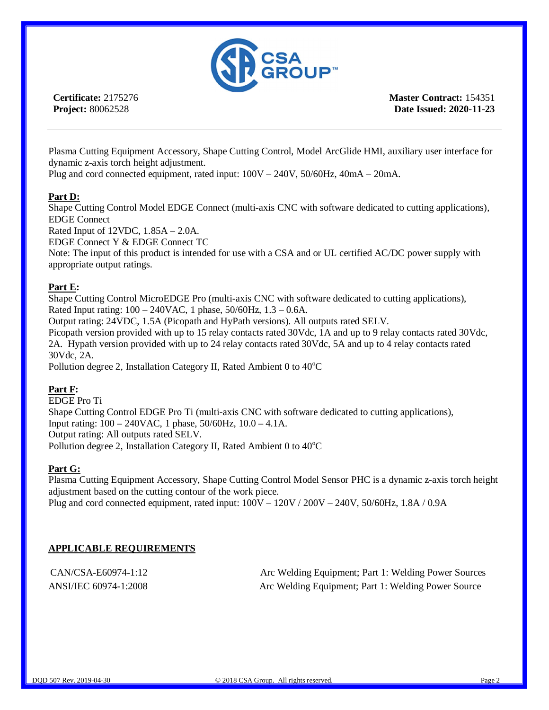

**Certificate:** 2175276 **Project:** 80062528

**Master Contract:** 154351 **Date Issued: 2020-11-23**

Plasma Cutting Equipment Accessory, Shape Cutting Control, Model ArcGlide HMI, auxiliary user interface for dynamic z-axis torch height adjustment.

Plug and cord connected equipment, rated input: 100V – 240V, 50/60Hz, 40mA – 20mA.

#### **Part D:**

Shape Cutting Control Model EDGE Connect (multi-axis CNC with software dedicated to cutting applications), EDGE Connect

Rated Input of 12VDC, 1.85A – 2.0A.

EDGE Connect Y & EDGE Connect TC

Note: The input of this product is intended for use with a CSA and or UL certified AC/DC power supply with appropriate output ratings.

#### **Part E:**

Shape Cutting Control MicroEDGE Pro (multi-axis CNC with software dedicated to cutting applications), Rated Input rating: 100 – 240VAC, 1 phase, 50/60Hz, 1.3 – 0.6A.

Output rating: 24VDC, 1.5A (Picopath and HyPath versions). All outputs rated SELV.

Picopath version provided with up to 15 relay contacts rated 30Vdc, 1A and up to 9 relay contacts rated 30Vdc, 2A. Hypath version provided with up to 24 relay contacts rated 30Vdc, 5A and up to 4 relay contacts rated 30Vdc, 2A.

Pollution degree 2, Installation Category II, Rated Ambient  $0$  to  $40^{\circ}$ C

#### **Part F:**

EDGE Pro Ti Shape Cutting Control EDGE Pro Ti (multi-axis CNC with software dedicated to cutting applications), Input rating: 100 – 240VAC, 1 phase, 50/60Hz, 10.0 – 4.1A. Output rating: All outputs rated SELV. Pollution degree 2, Installation Category II, Rated Ambient  $0$  to  $40^{\circ}$ C

#### **Part G:**

Plasma Cutting Equipment Accessory, Shape Cutting Control Model Sensor PHC is a dynamic z-axis torch height adjustment based on the cutting contour of the work piece. Plug and cord connected equipment, rated input: 100V – 120V / 200V – 240V, 50/60Hz, 1.8A / 0.9A

#### **APPLICABLE REQUIREMENTS**

CAN/CSA-E60974-1:12 Arc Welding Equipment; Part 1: Welding Power Sources ANSI/IEC 60974-1:2008 Arc Welding Equipment; Part 1: Welding Power Source